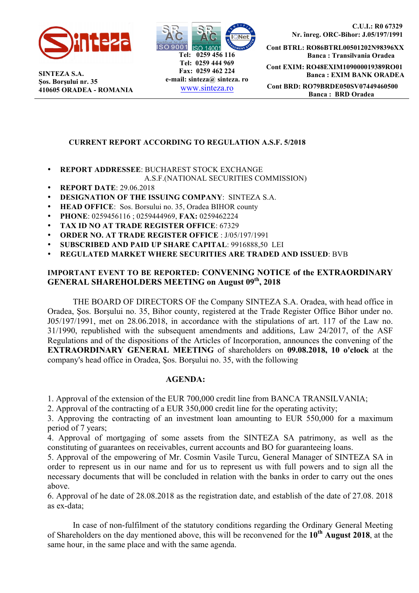

**SINTEZA S.A. Şos. Borşului nr. 35 410605 ORADEA - ROMANIA**



 **C.U.I.: R0 67329 Nr. înreg. ORC-Bihor: J.05/197/1991**

**Cont BTRL: RO86BTRL00501202N98396XX Banca : Transilvania Oradea Cont EXIM: RO48EXIM109000019389RO01 Banca : EXIM BANK ORADEA Cont BRD: RO79BRDE050SV07449460500 Banca : BRD Oradea**

## **CURRENT REPORT ACCORDING TO REGULATION A.S.F. 5/2018**

• **REPORT ADDRESSEE**: BUCHAREST STOCK EXCHANGE

#### A.S.F.(NATIONAL SECURITIES COMMISSION)

- **REPORT DATE**: 29.06.2018
- **DESIGNATION OF THE ISSUING COMPANY**: SINTEZA S.A.
- **HEAD OFFICE**: Sos. Borsului no. 35, Oradea BIHOR county
- **PHONE**: 0259456116 ; 0259444969, **FAX:** 0259462224
- **TAX ID NO AT TRADE REGISTER OFFICE**: 67329
- **ORDER NO. AT TRADE REGISTER OFFICE** : J/05/197/1991
- **SUBSCRIBED AND PAID UP SHARE CAPITAL**: 9916888,50 LEI
- **REGULATED MARKET WHERE SECURITIES ARE TRADED AND ISSUED**: BVB

## **IMPORTANT EVENT TO BE REPORTED: CONVENING NOTICE of the EXTRAORDINARY**  GENERAL SHAREHOLDERS MEETING on August 09<sup>th</sup>, 2018

THE BOARD OF DIRECTORS OF the Company SINTEZA S.A. Oradea, with head office in Oradea, Şos. Borşului no. 35, Bihor county, registered at the Trade Register Office Bihor under no. J05/197/1991, met on 28.06.2018, in accordance with the stipulations of art. 117 of the Law no. 31/1990, republished with the subsequent amendments and additions, Law 24/2017, of the ASF Regulations and of the dispositions of the Articles of Incorporation, announces the convening of the **EXTRAORDINARY GENERAL MEETING** of shareholders on **09.08.2018, 10 o'clock** at the company's head office in Oradea, Şos. Borşului no. 35, with the following

#### **AGENDA:**

1. Approval of the extension of the EUR 700,000 credit line from BANCA TRANSILVANIA;

2. Approval of the contracting of a EUR 350,000 credit line for the operating activity;

3. Approving the contracting of an investment loan amounting to EUR 550,000 for a maximum period of 7 years;

4. Approval of mortgaging of some assets from the SINTEZA SA patrimony, as well as the constituting of guarantees on receivables, current accounts and BO for guaranteeing loans.

5. Approval of the empowering of Mr. Cosmin Vasile Turcu, General Manager of SINTEZA SA in order to represent us in our name and for us to represent us with full powers and to sign all the necessary documents that will be concluded in relation with the banks in order to carry out the ones above.

6. Approval of he date of 28.08.2018 as the registration date, and establish of the date of 27.08. 2018 as ex-data;

 In case of non-fulfilment of the statutory conditions regarding the Ordinary General Meeting of Shareholders on the day mentioned above, this will be reconvened for the **10th August 2018**, at the same hour, in the same place and with the same agenda.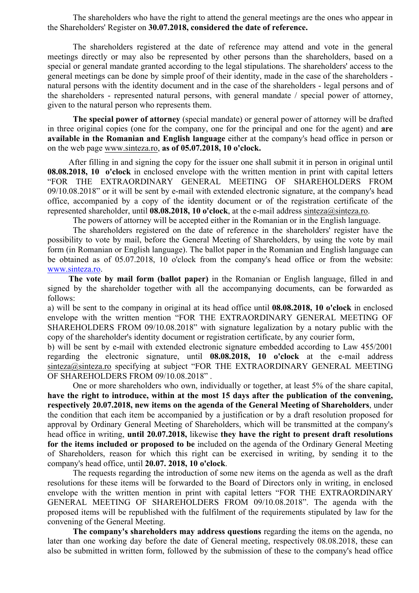The shareholders who have the right to attend the general meetings are the ones who appear in the Shareholders' Register on **30.07.2018, considered the date of reference.**

The shareholders registered at the date of reference may attend and vote in the general meetings directly or may also be represented by other persons than the shareholders, based on a special or general mandate granted according to the legal stipulations. The shareholders' access to the general meetings can be done by simple proof of their identity, made in the case of the shareholders natural persons with the identity document and in the case of the shareholders - legal persons and of the shareholders - represented natural persons, with general mandate / special power of attorney, given to the natural person who represents them.

 **The special power of attorney** (special mandate) or general power of attorney will be drafted in three original copies (one for the company, one for the principal and one for the agent) and **are available in the Romanian and English language** either at the company's head office in person or on the web page www.sinteza.ro, **as of 05.07.2018, 10 o'clock.** 

After filling in and signing the copy for the issuer one shall submit it in person in original until **08.08.2018, 10 o'clock** in enclosed envelope with the written mention in print with capital letters "FOR THE EXTRAORDINARY GENERAL MEETING OF SHAREHOLDERS FROM 09/10.08.2018" or it will be sent by e-mail with extended electronic signature, at the company's head office, accompanied by a copy of the identity document or of the registration certificate of the represented shareholder, until **08.08.2018, 10 o'clock**, at the e-mail address sinteza@sinteza.ro.

The powers of attorney will be accepted either in the Romanian or in the English language.

 The shareholders registered on the date of reference in the shareholders' register have the possibility to vote by mail, before the General Meeting of Shareholders, by using the vote by mail form (in Romanian or English language). The ballot paper in the Romanian and English language can be obtained as of 05.07.2018, 10 o'clock from the company's head office or from the website: www.sinteza.ro.

 **The vote by mail form (ballot paper)** in the Romanian or English language, filled in and signed by the shareholder together with all the accompanying documents, can be forwarded as follows:

a) will be sent to the company in original at its head office until **08.08.2018, 10 o'clock** in enclosed envelope with the written mention "FOR THE EXTRAORDINARY GENERAL MEETING OF SHAREHOLDERS FROM 09/10.08.2018" with signature legalization by a notary public with the copy of the shareholder's identity document or registration certificate, by any courier form,

b) will be sent by e-mail with extended electronic signature embedded according to Law 455/2001 regarding the electronic signature, until **08.08.2018, 10 o'clock** at the e-mail address sinteza@sinteza.ro specifying at subject "FOR THE EXTRAORDINARY GENERAL MEETING OF SHAREHOLDERS FROM 09/10.08.2018" .

 One or more shareholders who own, individually or together, at least 5% of the share capital, **have the right to introduce, within at the most 15 days after the publication of the convening, respectively 20.07.2018, new items on the agenda of the General Meeting of Shareholders**, under the condition that each item be accompanied by a justification or by a draft resolution proposed for approval by Ordinary General Meeting of Shareholders, which will be transmitted at the company's head office in writing, **until 20.07.2018,** likewise **they have the right to present draft resolutions for the items included or proposed to be** included on the agenda of the Ordinary General Meeting of Shareholders, reason for which this right can be exercised in writing, by sending it to the company's head office, until **20.07. 2018, 10 o'clock**.

 The requests regarding the introduction of some new items on the agenda as well as the draft resolutions for these items will be forwarded to the Board of Directors only in writing, in enclosed envelope with the written mention in print with capital letters "FOR THE EXTRAORDINARY GENERAL MEETING OF SHAREHOLDERS FROM 09/10.08.2018". The agenda with the proposed items will be republished with the fulfilment of the requirements stipulated by law for the convening of the General Meeting.

 **The company's shareholders may address questions** regarding the items on the agenda, no later than one working day before the date of General meeting, respectively 08.08.2018, these can also be submitted in written form, followed by the submission of these to the company's head office